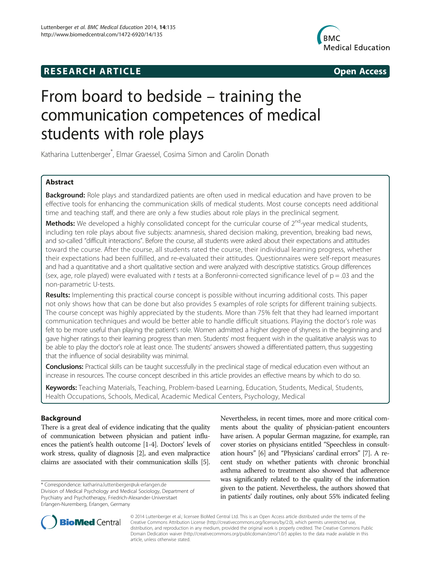## **RESEARCH ARTICLE Example 2014 The SEAR CH ACCESS**



# From board to bedside – training the communication competences of medical students with role plays

Katharina Luttenberger\* , Elmar Graessel, Cosima Simon and Carolin Donath

## Abstract

Background: Role plays and standardized patients are often used in medical education and have proven to be effective tools for enhancing the communication skills of medical students. Most course concepts need additional time and teaching staff, and there are only a few studies about role plays in the preclinical segment.

**Methods:** We developed a highly consolidated concept for the curricular course of 2<sup>nd</sup>-year medical students, including ten role plays about five subjects: anamnesis, shared decision making, prevention, breaking bad news, and so-called "difficult interactions". Before the course, all students were asked about their expectations and attitudes toward the course. After the course, all students rated the course, their individual learning progress, whether their expectations had been fulfilled, and re-evaluated their attitudes. Questionnaires were self-report measures and had a quantitative and a short qualitative section and were analyzed with descriptive statistics. Group differences (sex, age, role played) were evaluated with t tests at a Bonferonni-corrected significance level of  $p = .03$  and the non-parametric U-tests.

Results: Implementing this practical course concept is possible without incurring additional costs. This paper not only shows how that can be done but also provides 5 examples of role scripts for different training subjects. The course concept was highly appreciated by the students. More than 75% felt that they had learned important communication techniques and would be better able to handle difficult situations. Playing the doctor's role was felt to be more useful than playing the patient's role. Women admitted a higher degree of shyness in the beginning and gave higher ratings to their learning progress than men. Students' most frequent wish in the qualitative analysis was to be able to play the doctor's role at least once. The students' answers showed a differentiated pattern, thus suggesting that the influence of social desirability was minimal.

Conclusions: Practical skills can be taught successfully in the preclinical stage of medical education even without an increase in resources. The course concept described in this article provides an effective means by which to do so.

Keywords: Teaching Materials, Teaching, Problem-based Learning, Education, Students, Medical, Students, Health Occupations, Schools, Medical, Academic Medical Centers, Psychology, Medical

## Background

There is a great deal of evidence indicating that the quality of communication between physician and patient influences the patient's health outcome [[1-4\]](#page-9-0). Doctors' levels of work stress, quality of diagnosis [[2](#page-9-0)], and even malpractice claims are associated with their communication skills [[5](#page-9-0)].

\* Correspondence: [katharina.luttenberger@uk-erlangen.de](mailto:katharina.luttenberger@uk-erlangen.de) Division of Medical Psychology and Medical Sociology, Department of Psychiatry and Psychotherapy, Friedrich-Alexander-Universitaet Erlangen-Nuremberg, Erlangen, Germany

Nevertheless, in recent times, more and more critical comments about the quality of physician-patient encounters have arisen. A popular German magazine, for example, ran cover stories on physicians entitled "Speechless in consultation hours" [[6\]](#page-9-0) and "Physicians' cardinal errors" [\[7\]](#page-9-0). A recent study on whether patients with chronic bronchial asthma adhered to treatment also showed that adherence was significantly related to the quality of the information given to the patient. Nevertheless, the authors showed that in patients' daily routines, only about 55% indicated feeling



© 2014 Luttenberger et al.; licensee BioMed Central Ltd. This is an Open Access article distributed under the terms of the Creative Commons Attribution License (<http://creativecommons.org/licenses/by/2.0>), which permits unrestricted use, distribution, and reproduction in any medium, provided the original work is properly credited. The Creative Commons Public Domain Dedication waiver [\(http://creativecommons.org/publicdomain/zero/1.0/\)](http://creativecommons.org/publicdomain/zero/1.0/) applies to the data made available in this article, unless otherwise stated.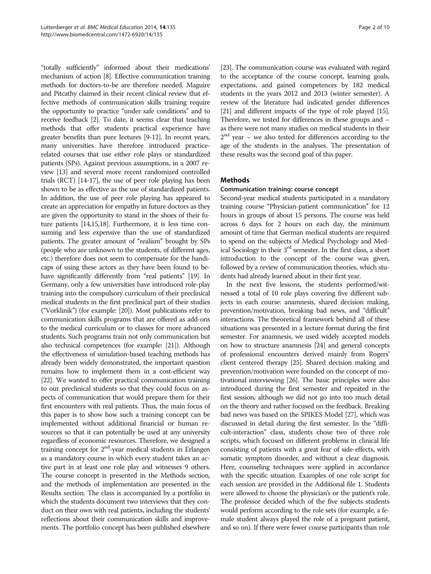"totally sufficiently" informed about their medications' mechanism of action [[8\]](#page-9-0). Effective communication training methods for doctors-to-be are therefore needed. Maguire and Pitcathy claimed in their recent clinical review that effective methods of communication skills training require the opportunity to practice "under safe conditions" and to receive feedback [[2](#page-9-0)]. To date, it seems clear that teaching methods that offer students practical experience have greater benefits than pure lectures [[9-12](#page-9-0)]. In recent years, many universities have therefore introduced practicerelated courses that use either role plays or standardized patients (SPs). Against previous assumptions, in a 2007 review [\[13\]](#page-9-0) and several more recent randomized controlled trials (RCT) [[14-17\]](#page-9-0), the use of peer role playing has been shown to be as effective as the use of standardized patients. In addition, the use of peer role playing has appeared to create an appreciation for empathy in future doctors as they are given the opportunity to stand in the shoes of their future patients [\[14,15,18](#page-9-0)]. Furthermore, it is less time consuming and less expensive than the use of standardized patients. The greater amount of "realism" brought by SPs (people who are unknown to the students, of different ages, etc.) therefore does not seem to compensate for the handicaps of using these actors as they have been found to behave significantly differently from "real patients" [\[19](#page-9-0)]. In Germany, only a few universities have introduced role-play training into the compulsory curriculum of their preclinical medical students in the first preclinical part of their studies ("Vorklinik") (for example: [\[20](#page-9-0)]). Most publications refer to communication skills programs that are offered as add-ons to the medical curriculum or to classes for more advanced students. Such programs train not only communication but also technical competences (for example: [[21](#page-9-0)]). Although the effectiveness of simulation-based teaching methods has already been widely demonstrated, the important question remains how to implement them in a cost-efficient way [[22](#page-9-0)]. We wanted to offer practical communication training to our preclinical students so that they could focus on aspects of communication that would prepare them for their first encounters with real patients. Thus, the main focus of this paper is to show how such a training concept can be implemented without additional financial or human resources so that it can potentially be used at any university regardless of economic resources. Therefore, we designed a training concept for  $2<sup>nd</sup>$ -year medical students in Erlangen as a mandatory course in which every student takes an active part in at least one role play and witnesses 9 others. The course concept is presented in the Methods section, and the methods of implementation are presented in the [Results](#page-2-0) section. The class is accompanied by a portfolio in which the students document two interviews that they conduct on their own with real patients, including the students' reflections about their communication skills and improvements. The portfolio concept has been published elsewhere

[[23](#page-9-0)]. The communication course was evaluated with regard to the acceptance of the course concept, learning goals, expectations, and gained competences by 182 medical students in the years 2012 and 2013 (winter semester). A review of the literature had indicated gender differences [[21](#page-9-0)] and different impacts of the type of role played [\[15](#page-9-0)]. Therefore, we tested for differences in these groups and – as there were not many studies on medical students in their  $2<sup>nd</sup>$  year – we also tested for differences according to the age of the students in the analyses. The presentation of these results was the second goal of this paper.

### **Methods**

#### Communication training: course concept

Second-year medical students participated in a mandatory training course "Physician-patient communication" for 12 hours in groups of about 15 persons. The course was held across 6 days for 2 hours on each day, the minimum amount of time that German medical students are required to spend on the subjects of Medical Psychology and Medical Sociology in their  $3<sup>rd</sup>$  semester. In the first class, a short introduction to the concept of the course was given, followed by a review of communication theories, which students had already learned about in their first year.

In the next five lessons, the students performed/witnessed a total of 10 role plays covering five different subjects in each course: anamnesis, shared decision making, prevention/motivation, breaking bad news, and "difficult" interactions. The theoretical framework behind all of these situations was presented in a lecture format during the first semester. For anamnesis, we used widely accepted models on how to structure anamnesis [\[24\]](#page-9-0) and general concepts of professional encounters derived mainly from Rogers' client centered therapy [[25\]](#page-9-0). Shared decision making and prevention/motivation were founded on the concept of motivational interviewing [\[26\]](#page-9-0). The basic principles were also introduced during the first semester and repeated in the first session, although we did not go into too much detail on the theory and rather focused on the feedback. Breaking bad news was based on the SPIKES Model [\[27](#page-9-0)], which was discussed in detail during the first semester. In the "difficult-interaction" class, students chose two of three role scripts, which focused on different problems in clinical life consisting of patients with a great fear of side-effects, with somatic symptom disorder, and without a clear diagnosis. Here, counseling techniques were applied in accordance with the specific situation. Examples of one role script for each session are provided in the Additional file [1](#page-8-0). Students were allowed to choose the physician's or the patient's role. The professor decided which of the five subjects students would perform according to the role sets (for example, a female student always played the role of a pregnant patient, and so on). If there were fewer course participants than role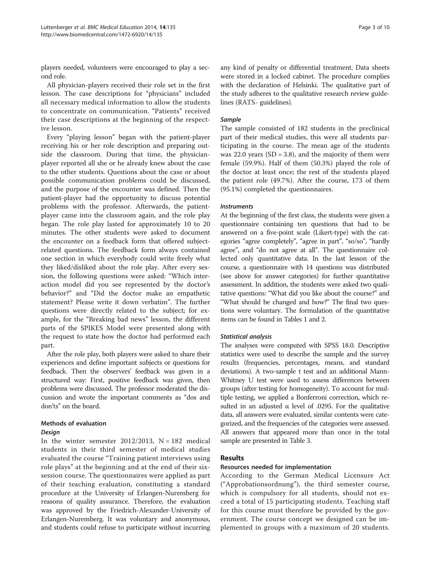<span id="page-2-0"></span>players needed, volunteers were encouraged to play a second role.

All physician-players received their role set in the first lesson. The case descriptions for "physicians" included all necessary medical information to allow the students to concentrate on communication. "Patients" received their case descriptions at the beginning of the respective lesson.

Every "playing lesson" began with the patient-player receiving his or her role description and preparing outside the classroom. During that time, the physicianplayer reported all she or he already knew about the case to the other students. Questions about the case or about possible communication problems could be discussed, and the purpose of the encounter was defined. Then the patient-player had the opportunity to discuss potential problems with the professor. Afterwards, the patientplayer came into the classroom again, and the role play began. The role play lasted for approximately 10 to 20 minutes. The other students were asked to document the encounter on a feedback form that offered subjectrelated questions. The feedback form always contained one section in which everybody could write freely what they liked/disliked about the role play. After every session, the following questions were asked: "Which interaction model did you see represented by the doctor's behavior?" and "Did the doctor make an empathetic statement? Please write it down verbatim". The further questions were directly related to the subject; for example, for the "Breaking bad news" lesson, the different parts of the SPIKES Model were presented along with the request to state how the doctor had performed each part.

After the role play, both players were asked to share their experiences and define important subjects or questions for feedback. Then the observers' feedback was given in a structured way: First, positive feedback was given, then problems were discussed. The professor moderated the discussion and wrote the important comments as "dos and don'ts" on the board.

## Methods of evaluation

## Design

In the winter semester  $2012/2013$ , N = 182 medical students in their third semester of medical studies evaluated the course "Training patient interviews using role plays" at the beginning and at the end of their sixsession course. The questionnaires were applied as part of their teaching evaluation, constituting a standard procedure at the University of Erlangen-Nuremberg for reasons of quality assurance. Therefore, the evaluation was approved by the Friedrich-Alexander-University of Erlangen-Nuremberg. It was voluntary and anonymous, and students could refuse to participate without incurring

any kind of penalty or differential treatment. Data sheets were stored in a locked cabinet. The procedure complies with the declaration of Helsinki. The qualitative part of the study adheres to the qualitative research review guidelines (RATS- guidelines).

## Sample

The sample consisted of 182 students in the preclinical part of their medical studies, this were all students participating in the course. The mean age of the students was 22.0 years  $(SD = 3.8)$ , and the majority of them were female (59.9%). Half of them (50.3%) played the role of the doctor at least once; the rest of the students played the patient role (49.7%). After the course, 173 of them (95.1%) completed the questionnaires.

### **Instruments**

At the beginning of the first class, the students were given a questionnaire containing ten questions that had to be answered on a five-point scale (Likert-type) with the categories "agree completely", "agree in part", "so/so", "hardly agree", and "do not agree at all". The questionnaire collected only quantitative data. In the last lesson of the course, a questionnaire with 14 questions was distributed (see above for answer categories) for further quantitative assessment. In addition, the students were asked two qualitative questions: "What did you like about the course?" and "What should be changed and how?" The final two questions were voluntary. The formulation of the quantitative items can be found in Tables [1](#page-3-0) and [2](#page-4-0).

## Statistical analysis

The analyses were computed with SPSS 18.0. Descriptive statistics were used to describe the sample and the survey results (frequencies, percentages, means, and standard deviations). A two-sample t test and an additional Mann-Whitney U test were used to assess differences between groups (after testing for homogeneity). To account for multiple testing, we applied a Bonferroni correction, which resulted in an adjusted  $\alpha$  level of .0295. For the qualitative data, all answers were evaluated, similar contents were categorized, and the frequencies of the categories were assessed. All answers that appeared more than once in the total sample are presented in Table [3.](#page-5-0)

## Results

#### Resources needed for implementation

According to the German Medical Licensure Act ("Approbationsordnung"), the third semester course, which is compulsory for all students, should not exceed a total of 15 participating students. Teaching staff for this course must therefore be provided by the government. The course concept we designed can be implemented in groups with a maximum of 20 students.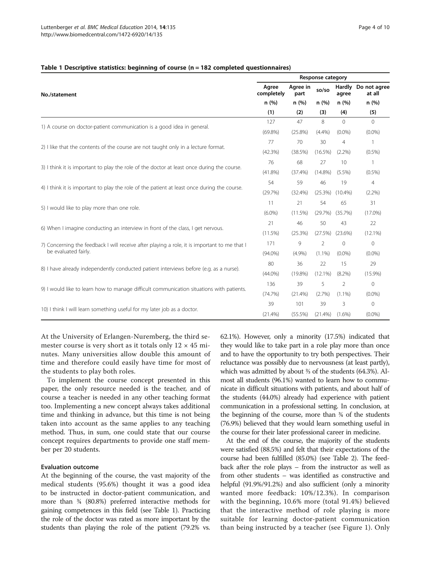|                                                                                              | <b>Response category</b>      |                  |                |                |                               |  |
|----------------------------------------------------------------------------------------------|-------------------------------|------------------|----------------|----------------|-------------------------------|--|
| No./statement                                                                                | Agree<br>completely           | Agree in<br>part | so/so          | agree          | Hardly Do not agree<br>at all |  |
|                                                                                              | n(%)                          | n(%)             | n(%)           | n(%)           | n(%)                          |  |
|                                                                                              | (1)                           | (2)              | (3)            | (4)            | (5)                           |  |
| 1) A course on doctor-patient communication is a good idea in general.                       | 127                           | 47               | 8              | $\mathbf{0}$   | $\Omega$                      |  |
|                                                                                              | $(69.8\%)$                    | $(25.8\%)$       | (4.4%)         | $(0.0\%)$      | $(0.0\%)$                     |  |
| 2) I like that the contents of the course are not taught only in a lecture format.           | 77                            | 70               | 30             | $\overline{4}$ | $\mathbf{1}$                  |  |
|                                                                                              | (42.3%)                       | (38.5%)          | $(16.5\%)$     | $(2.2\%)$      | $(0.5\%)$                     |  |
| 3) I think it is important to play the role of the doctor at least once during the course.   | 76                            | 68               | 27             | 10             | $\mathbf{1}$                  |  |
|                                                                                              | $(41.8\%)$                    | (37.4%)          | $(14.8\%)$     | $(5.5\%)$      | $(0.5\%)$                     |  |
| 4) I think it is important to play the role of the patient at least once during the course.  | 54                            | 59               | 46             | 19             | 4                             |  |
|                                                                                              | (29.7%)                       | (32.4%)          | (25.3%)        | $(10.4\%)$     | $(2.2\%)$                     |  |
|                                                                                              | 11                            | 21               | 54             | 65             | 31                            |  |
| 5) I would like to play more than one role.                                                  | $(6.0\%)$                     | (11.5%)          | (29.7%)        | (35.7%)        | $(17.0\%)$                    |  |
|                                                                                              | 21                            | 46               | 50             | 43             | 22                            |  |
| 6) When I imagine conducting an interview in front of the class, I get nervous.              | (11.5%)<br>(27.5%)<br>(25.3%) | (23.6%)          | $(12.1\%)$     |                |                               |  |
| 7) Concerning the feedback I will receive after playing a role, it is important to me that I | 171                           | 9                | $\overline{2}$ | 0              | $\mathbf{0}$                  |  |
| be evaluated fairly.                                                                         | $(94.0\%)$                    | (4.9%)           | $(1.1\%)$      | $(0.0\%)$      | $(0.0\%)$                     |  |
|                                                                                              | 80                            | 36               | 22             | 15             | 29                            |  |
| 8) I have already independently conducted patient interviews before (e.g. as a nurse).       | $(44.0\%)$                    | $(19.8\%)$       | $(12.1\%)$     | $(8.2\%)$      | $(15.9\%)$                    |  |
|                                                                                              | 136                           | 39               | 5              | 2              | $\mathbf{0}$                  |  |
| 9) I would like to learn how to manage difficult communication situations with patients.     | (74.7%)                       | (21.4%)          | (2.7%)         | $(1.1\%)$      | $(0.0\%)$                     |  |
|                                                                                              | 39                            | 101              | 39             | 3              | $\mathbf{0}$                  |  |
| 10) I think I will learn something useful for my later job as a doctor.                      | (21.4%)                       | $(55.5\%)$       | $(21.4\%)$     | $(1.6\%)$      | $(0.0\%)$                     |  |

#### <span id="page-3-0"></span>Table 1 Descriptive statistics: beginning of course (n = 182 completed questionnaires)

At the University of Erlangen-Nuremberg, the third semester course is very short as it totals only  $12 \times 45$  minutes. Many universities allow double this amount of time and therefore could easily have time for most of the students to play both roles.

To implement the course concept presented in this paper, the only resource needed is the teacher, and of course a teacher is needed in any other teaching format too. Implementing a new concept always takes additional time and thinking in advance, but this time is not being taken into account as the same applies to any teaching method. Thus, in sum, one could state that our course concept requires departments to provide one staff member per 20 students.

## Evaluation outcome

At the beginning of the course, the vast majority of the medical students (95.6%) thought it was a good idea to be instructed in doctor-patient communication, and more than ¾ (80.8%) preferred interactive methods for gaining competences in this field (see Table 1). Practicing the role of the doctor was rated as more important by the students than playing the role of the patient (79.2% vs. 62.1%). However, only a minority (17.5%) indicated that they would like to take part in a role play more than once and to have the opportunity to try both perspectives. Their reluctance was possibly due to nervousness (at least partly), which was admitted by about ⅔ of the students (64.3%). Almost all students (96.1%) wanted to learn how to communicate in difficult situations with patients, and about half of the students (44.0%) already had experience with patient communication in a professional setting. In conclusion, at the beginning of the course, more than ¾ of the students (76.9%) believed that they would learn something useful in the course for their later professional career in medicine.

At the end of the course, the majority of the students were satisfied (88.5%) and felt that their expectations of the course had been fulfilled (85.0%) (see Table [2](#page-4-0)). The feedback after the role plays – from the instructor as well as from other students – was identified as constructive and helpful (91.9%/91.2%) and also sufficient (only a minority wanted more feedback: 10%/12.3%). In comparison with the beginning, 10.6% more (total 91.4%) believed that the interactive method of role playing is more suitable for learning doctor-patient communication than being instructed by a teacher (see Figure [1](#page-5-0)). Only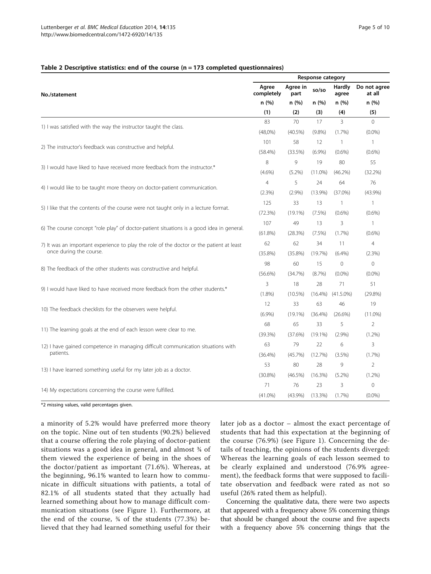|                                                                                           |                     |                  | Response category |                         |                        |
|-------------------------------------------------------------------------------------------|---------------------|------------------|-------------------|-------------------------|------------------------|
| No./statement                                                                             | Agree<br>completely | Agree in<br>part | so/so             | Hardly<br>agree         | Do not agree<br>at all |
|                                                                                           | n (%)               | n(%)             | n (%)             | n(%)                    | n (%)                  |
|                                                                                           | (1)                 | (2)              | (3)               | (4)                     | (5)                    |
| 1) I was satisfied with the way the instructor taught the class.                          | 83                  | 70               | 17                | 3                       | $\overline{0}$         |
|                                                                                           | $(48,0\%)$          | $(40.5\%)$       | $(9.8\%)$         | (1.7%)                  | $(0.0\%)$              |
| 2) The instructor's feedback was constructive and helpful.                                | 101                 | 58               | 12                | $\mathbf{1}$            | $\mathbf{1}$           |
|                                                                                           | $(58.4\%)$          | (33.5%)          | (6.9%)            | (0.6% )                 | $(0.6\%)$              |
| 3) I would have liked to have received more feedback from the instructor.*                | 8                   | 9                | 19                | 80                      | 55                     |
|                                                                                           | $(4.6\%)$           | $(5.2\%)$        | $(11.0\%)$        | $(46.2\%)$              | (32.2%)                |
| 4) I would like to be taught more theory on doctor-patient communication.                 | $\overline{4}$      | 5                | 24                | 64                      | 76                     |
|                                                                                           | (2.3%)              | (2.9%)           | $(13.9\%)$        | $(37.0\%)$              | $(43.9\%)$             |
| 5) I like that the contents of the course were not taught only in a lecture format.       | 125                 | 33               | 13                | $\mathbf{1}$            | $\mathbf{1}$           |
|                                                                                           | (72.3%)             | $(19.1\%)$       | (7.5%)            | (0.6% )                 | $(0.6\%)$              |
|                                                                                           | 107                 | 49               | 13                | 3                       | $\mathbf{1}$           |
| 6) The course concept "role play" of doctor-patient situations is a good idea in general. | $(61.8\%)$          | (28.3%)          | (7.5%)            | (1.7%)                  | $(0.6\%)$              |
| 7) It was an important experience to play the role of the doctor or the patient at least  | 62                  | 62               | 34                | 11                      | $\overline{4}$         |
| once during the course.                                                                   | $(35.8\%)$          | $(35.8\%)$       | (19.7%)           | $(6.4\%)$               | (2.3%)                 |
|                                                                                           | 98                  | 60               | 15                | $\circ$                 | $\Omega$               |
| 8) The feedback of the other students was constructive and helpful.                       | $(56.6\%)$          | (34.7%)          | (8.7%)            | $(0.0\%)$               | $(0.0\%)$              |
|                                                                                           | 3                   | 18               | 28                | 71                      | 51                     |
| 9) I would have liked to have received more feedback from the other students.*            | $(1.8\%)$           | $(10.5\%)$       |                   | $(16.4\%)$ $(41.5.0\%)$ | (29.8%)                |
|                                                                                           | 12                  | 33               | 63                | 46                      | 19                     |
| 10) The feedback checklists for the observers were helpful.                               | $(6.9\%)$           | $(19.1\%)$       | (36.4%)           | $(26.6\%)$              | $(11.0\%)$             |
|                                                                                           | 68                  | 65               | 33                | 5                       | $\overline{2}$         |
| 11) The learning goals at the end of each lesson were clear to me.                        | (39.3%)             | (37.6%)          | $(19.1\%)$        | (2.9%)                  | $(1.2\%)$              |
| 12) I have gained competence in managing difficult communication situations with          | 63                  | 79               | 22                | 6                       | 3                      |
| patients.                                                                                 | $(36.4\%)$          | (45.7%)          | (12.7%)           | $(3.5\%)$               | (1.7%)                 |
| 13) I have learned something useful for my later job as a doctor.                         | 53                  | 80               | 28                | 9                       | $\overline{2}$         |
|                                                                                           | $(30.8\%)$          | $(46.5\%)$       | (16.3%)           | $(5.2\%)$               | $(1.2\%)$              |
|                                                                                           | 71                  | 76               | 23                | 3                       | $\mathbf 0$            |
| 14) My expectations concerning the course were fulfilled.                                 | $(41.0\%)$          | $(43.9\%)$       | $(13.3\%)$        | (1.7%)                  | $(0.0\%)$              |

#### <span id="page-4-0"></span>Table 2 Descriptive statistics: end of the course (n = 173 completed questionnaires)

\*2 missing values, valid percentages given.

a minority of 5.2% would have preferred more theory on the topic. Nine out of ten students (90.2%) believed that a course offering the role playing of doctor-patient situations was a good idea in general, and almost ¾ of them viewed the experience of being in the shoes of the doctor/patient as important (71.6%). Whereas, at the beginning, 96.1% wanted to learn how to communicate in difficult situations with patients, a total of 82.1% of all students stated that they actually had learned something about how to manage difficult communication situations (see Figure [1\)](#page-5-0). Furthermore, at the end of the course,  $\frac{3}{4}$  of the students (77.3%) believed that they had learned something useful for their later job as a doctor – almost the exact percentage of students that had this expectation at the beginning of the course (76.9%) (see Figure [1\)](#page-5-0). Concerning the details of teaching, the opinions of the students diverged: Whereas the learning goals of each lesson seemed to be clearly explained and understood (76.9% agreement), the feedback forms that were supposed to facilitate observation and feedback were rated as not so useful (26% rated them as helpful).

Concerning the qualitative data, there were two aspects that appeared with a frequency above 5% concerning things that should be changed about the course and five aspects with a frequency above 5% concerning things that the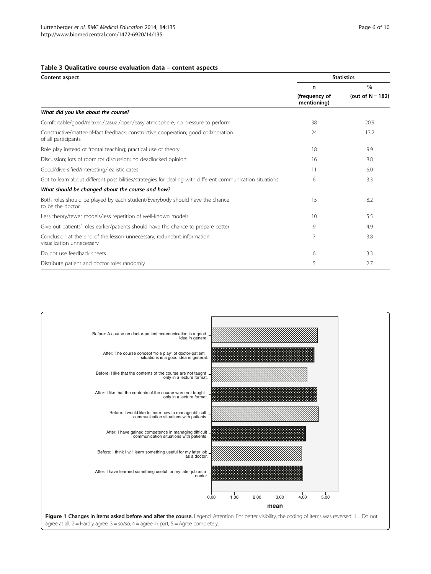### <span id="page-5-0"></span>Table 3 Qualitative course evaluation data – content aspects

| Content aspect                                                                                            | <b>Statistics</b>            |                             |  |  |
|-----------------------------------------------------------------------------------------------------------|------------------------------|-----------------------------|--|--|
|                                                                                                           | n                            | $\%$<br>(out of $N = 182$ ) |  |  |
|                                                                                                           | (frequency of<br>mentioning) |                             |  |  |
| What did you like about the course?                                                                       |                              |                             |  |  |
| Comfortable/good/relaxed/casual/open/easy atmosphere; no pressure to perform                              | 38                           | 20.9                        |  |  |
| Constructive/matter-of-fact feedback; constructive cooperation; good collaboration<br>of all participants | 24                           | 13.2                        |  |  |
| Role play instead of frontal teaching; practical use of theory                                            | 18                           | 9.9                         |  |  |
| Discussion; lots of room for discussion; no deadlocked opinion                                            | 16                           | 8.8                         |  |  |
| Good/diversified/interesting/realistic cases                                                              | 11                           | 6.0                         |  |  |
| Got to learn about different possibilities/strategies for dealing with different communication situations | 6                            | 3.3                         |  |  |
| What should be changed about the course and how?                                                          |                              |                             |  |  |
| Both roles should be played by each student/Everybody should have the chance<br>to be the doctor.         | 15                           | 8.2                         |  |  |
| Less theory/fewer models/less repetition of well-known models                                             | 10                           | 5.5                         |  |  |
| Give out patients' roles earlier/patients should have the chance to prepare better                        | 9                            | 4.9                         |  |  |
| Conclusion at the end of the lesson unnecessary, redundant information,<br>visualization unnecessary      | 7                            | 3.8                         |  |  |
| Do not use feedback sheets                                                                                | 6                            | 3.3                         |  |  |
| Distribute patient and doctor roles randomly                                                              | 5                            | 2.7                         |  |  |

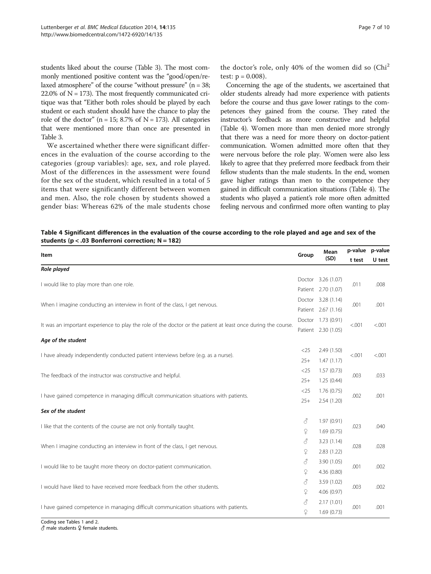<span id="page-6-0"></span>students liked about the course (Table [3](#page-5-0)). The most commonly mentioned positive content was the "good/open/relaxed atmosphere" of the course "without pressure" ( $n = 38$ ; 22.0% of  $N = 173$ ). The most frequently communicated critique was that "Either both roles should be played by each student or each student should have the chance to play the role of the doctor" ( $n = 15$ ; 8.7% of  $N = 173$ ). All categories that were mentioned more than once are presented in Table [3](#page-5-0).

We ascertained whether there were significant differences in the evaluation of the course according to the categories (group variables): age, sex, and role played. Most of the differences in the assessment were found for the sex of the student, which resulted in a total of 5 items that were significantly different between women and men. Also, the role chosen by students showed a gender bias: Whereas 62% of the male students chose

the doctor's role, only 40% of the women did so  $(Chi<sup>2</sup>)$ test:  $p = 0.008$ ).

Concerning the age of the students, we ascertained that older students already had more experience with patients before the course and thus gave lower ratings to the competences they gained from the course. They rated the instructor's feedback as more constructive and helpful (Table 4). Women more than men denied more strongly that there was a need for more theory on doctor-patient communication. Women admitted more often that they were nervous before the role play. Women were also less likely to agree that they preferred more feedback from their fellow students than the male students. In the end, women gave higher ratings than men to the competence they gained in difficult communication situations (Table 4). The students who played a patient's role more often admitted feeling nervous and confirmed more often wanting to play

Table 4 Significant differences in the evaluation of the course according to the role played and age and sex of the students ( $p < .03$  Bonferroni correction;  $N = 182$ )

| Item                                                                                                          | Group    | Mean<br>(SD)        | p-value p-value<br>t test | U test |
|---------------------------------------------------------------------------------------------------------------|----------|---------------------|---------------------------|--------|
| Role played                                                                                                   |          |                     |                           |        |
| I would like to play more than one role.                                                                      | Doctor   | 3.26 (1.07)         |                           | .008   |
|                                                                                                               |          | Patient 2.70 (1.07) | .011                      |        |
| When I imagine conducting an interview in front of the class, I get nervous.                                  |          | Doctor 3.28 (1.14)  | .001                      | .001   |
|                                                                                                               |          | Patient 2.67 (1.16) |                           |        |
| It was an important experience to play the role of the doctor or the patient at least once during the course. |          | Doctor 1.73 (0.91)  |                           |        |
|                                                                                                               |          | Patient 2.30 (1.05) | < .001                    | < .001 |
| Age of the student                                                                                            |          |                     |                           |        |
| I have already independently conducted patient interviews before (e.g. as a nurse).                           | $<$ 25   | 2.49(1.50)          | < .001                    | < .001 |
|                                                                                                               | $25+$    | 1.47(1.17)          |                           |        |
| The feedback of the instructor was constructive and helpful.                                                  | $<$ 25   | 1.57(0.73)          | .003                      | .033   |
|                                                                                                               | $25+$    | 1.25(0.44)          |                           |        |
| I have gained competence in managing difficult communication situations with patients.                        | $<$ 25   | 1.76(0.75)          | .002                      | .001   |
|                                                                                                               | $25+$    | 2.54(1.20)          |                           |        |
| Sex of the student                                                                                            |          |                     |                           |        |
| I like that the contents of the course are not only frontally taught.                                         | 8        | 1.97(0.91)          | .023                      | .040   |
|                                                                                                               | ♀        | 1.69(0.75)          |                           |        |
| When I imagine conducting an interview in front of the class, I get nervous.                                  | 8        | 3.23(1.14)          | .028                      | .028   |
|                                                                                                               | ♀        | 2.83(1.22)          |                           |        |
| I would like to be taught more theory on doctor-patient communication.                                        | 8        | 3.90 (1.05)         | .001                      | .002   |
|                                                                                                               | ♀        | 4.36(0.80)          |                           |        |
| I would have liked to have received more feedback from the other students.                                    | 8        | 3.59 (1.02)         | .003                      | .002   |
|                                                                                                               | $\Omega$ | 4.06 (0.97)         |                           |        |
| I have gained competence in managing difficult communication situations with patients.                        | 8        | 2.17(1.01)          | .001                      | .001   |
|                                                                                                               | ♀        | 1.69(0.73)          |                           |        |

Coding see Tables [1](#page-3-0) and [2](#page-4-0).  $\delta$  male students  $\Omega$  female students.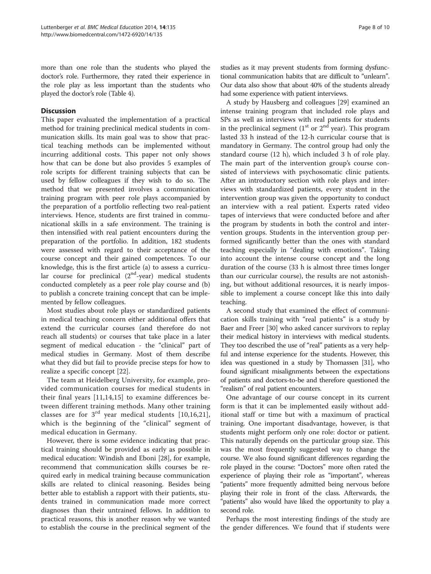more than one role than the students who played the doctor's role. Furthermore, they rated their experience in the role play as less important than the students who played the doctor's role (Table [4\)](#page-6-0).

### **Discussion**

This paper evaluated the implementation of a practical method for training preclinical medical students in communication skills. Its main goal was to show that practical teaching methods can be implemented without incurring additional costs. This paper not only shows how that can be done but also provides 5 examples of role scripts for different training subjects that can be used by fellow colleagues if they wish to do so. The method that we presented involves a communication training program with peer role plays accompanied by the preparation of a portfolio reflecting two real-patient interviews. Hence, students are first trained in communicational skills in a safe environment. The training is then intensified with real patient encounters during the preparation of the portfolio. In addition, 182 students were assessed with regard to their acceptance of the course concept and their gained competences. To our knowledge, this is the first article (a) to assess a curricular course for preclinical  $(2<sup>nd</sup>-year)$  medical students conducted completely as a peer role play course and (b) to publish a concrete training concept that can be implemented by fellow colleagues.

Most studies about role plays or standardized patients in medical teaching concern either additional offers that extend the curricular courses (and therefore do not reach all students) or courses that take place in a later segment of medical education - the "clinical" part of medical studies in Germany. Most of them describe what they did but fail to provide precise steps for how to realize a specific concept [[22\]](#page-9-0).

The team at Heidelberg University, for example, provided communication courses for medical students in their final years [\[11,14,15\]](#page-9-0) to examine differences between different training methods. Many other training classes are for  $3<sup>rd</sup>$  year medical students [[10,16,21](#page-9-0)], which is the beginning of the "clinical" segment of medical education in Germany.

However, there is some evidence indicating that practical training should be provided as early as possible in medical education: Windish and Eboni [[28\]](#page-9-0), for example, recommend that communication skills courses be required early in medical training because communication skills are related to clinical reasoning. Besides being better able to establish a rapport with their patients, students trained in communication made more correct diagnoses than their untrained fellows. In addition to practical reasons, this is another reason why we wanted to establish the course in the preclinical segment of the

studies as it may prevent students from forming dysfunctional communication habits that are difficult to "unlearn". Our data also show that about 40% of the students already had some experience with patient interviews.

A study by Hausberg and colleagues [[29\]](#page-9-0) examined an intense training program that included role plays and SPs as well as interviews with real patients for students in the preclinical segment  $(1<sup>st</sup>$  or  $2<sup>nd</sup>$  year). This program lasted 33 h instead of the 12-h curricular course that is mandatory in Germany. The control group had only the standard course (12 h), which included 3 h of role play. The main part of the intervention group's course consisted of interviews with psychosomatic clinic patients. After an introductory section with role plays and interviews with standardized patients, every student in the intervention group was given the opportunity to conduct an interview with a real patient. Experts rated video tapes of interviews that were conducted before and after the program by students in both the control and intervention groups. Students in the intervention group performed significantly better than the ones with standard teaching especially in "dealing with emotions". Taking into account the intense course concept and the long duration of the course (33 h is almost three times longer than our curricular course), the results are not astonishing, but without additional resources, it is nearly impossible to implement a course concept like this into daily teaching.

A second study that examined the effect of communication skills training with "real patients" is a study by Baer and Freer [\[30](#page-9-0)] who asked cancer survivors to replay their medical history in interviews with medical students. They too described the use of "real" patients as a very helpful and intense experience for the students. However, this idea was questioned in a study by Thomassen [\[31](#page-9-0)], who found significant misalignments between the expectations of patients and doctors-to-be and therefore questioned the "realism" of real patient encounters.

One advantage of our course concept in its current form is that it can be implemented easily without additional staff or time but with a maximum of practical training. One important disadvantage, however, is that students might perform only one role: doctor or patient. This naturally depends on the particular group size. This was the most frequently suggested way to change the course. We also found significant differences regarding the role played in the course: "Doctors" more often rated the experience of playing their role as "important", whereas "patients" more frequently admitted being nervous before playing their role in front of the class. Afterwards, the "patients" also would have liked the opportunity to play a second role.

Perhaps the most interesting findings of the study are the gender differences. We found that if students were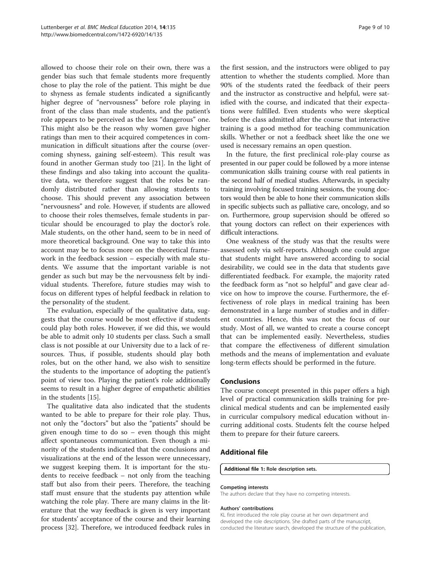<span id="page-8-0"></span>allowed to choose their role on their own, there was a gender bias such that female students more frequently chose to play the role of the patient. This might be due to shyness as female students indicated a significantly higher degree of "nervousness" before role playing in front of the class than male students, and the patient's role appears to be perceived as the less "dangerous" one. This might also be the reason why women gave higher ratings than men to their acquired competences in communication in difficult situations after the course (overcoming shyness, gaining self-esteem). This result was found in another German study too [\[21](#page-9-0)]. In the light of these findings and also taking into account the qualitative data, we therefore suggest that the roles be randomly distributed rather than allowing students to choose. This should prevent any association between "nervousness" and role. However, if students are allowed to choose their roles themselves, female students in particular should be encouraged to play the doctor's role. Male students, on the other hand, seem to be in need of more theoretical background. One way to take this into account may be to focus more on the theoretical framework in the feedback session – especially with male students. We assume that the important variable is not gender as such but may be the nervousness felt by individual students. Therefore, future studies may wish to focus on different types of helpful feedback in relation to the personality of the student.

The evaluation, especially of the qualitative data, suggests that the course would be most effective if students could play both roles. However, if we did this, we would be able to admit only 10 students per class. Such a small class is not possible at our University due to a lack of resources. Thus, if possible, students should play both roles, but on the other hand, we also wish to sensitize the students to the importance of adopting the patient's point of view too. Playing the patient's role additionally seems to result in a higher degree of empathetic abilities in the students [[15\]](#page-9-0).

The qualitative data also indicated that the students wanted to be able to prepare for their role play. Thus, not only the "doctors" but also the "patients" should be given enough time to do so – even though this might affect spontaneous communication. Even though a minority of the students indicated that the conclusions and visualizations at the end of the lesson were unnecessary, we suggest keeping them. It is important for the students to receive feedback – not only from the teaching staff but also from their peers. Therefore, the teaching staff must ensure that the students pay attention while watching the role play. There are many claims in the literature that the way feedback is given is very important for students' acceptance of the course and their learning process [[32](#page-9-0)]. Therefore, we introduced feedback rules in

the first session, and the instructors were obliged to pay attention to whether the students complied. More than 90% of the students rated the feedback of their peers and the instructor as constructive and helpful, were satisfied with the course, and indicated that their expectations were fulfilled. Even students who were skeptical before the class admitted after the course that interactive training is a good method for teaching communication skills. Whether or not a feedback sheet like the one we used is necessary remains an open question.

In the future, the first preclinical role-play course as presented in our paper could be followed by a more intense communication skills training course with real patients in the second half of medical studies. Afterwards, in specialty training involving focused training sessions, the young doctors would then be able to hone their communication skills in specific subjects such as palliative care, oncology, and so on. Furthermore, group supervision should be offered so that young doctors can reflect on their experiences with difficult interactions.

One weakness of the study was that the results were assessed only via self-reports. Although one could argue that students might have answered according to social desirability, we could see in the data that students gave differentiated feedback. For example, the majority rated the feedback form as "not so helpful" and gave clear advice on how to improve the course. Furthermore, the effectiveness of role plays in medical training has been demonstrated in a large number of studies and in different countries. Hence, this was not the focus of our study. Most of all, we wanted to create a course concept that can be implemented easily. Nevertheless, studies that compare the effectiveness of different simulation methods and the means of implementation and evaluate long-term effects should be performed in the future.

#### Conclusions

The course concept presented in this paper offers a high level of practical communication skills training for preclinical medical students and can be implemented easily in curricular compulsory medical education without incurring additional costs. Students felt the course helped them to prepare for their future careers.

## Additional file

[Additional file 1:](http://www.biomedcentral.com/content/supplementary/1472-6920-14-135-S1.doc) Role description sets.

#### Competing interests

The authors declare that they have no competing interests.

#### Authors' contributions

KL first introduced the role play course at her own department and developed the role descriptions. She drafted parts of the manuscript, conducted the literature search, developed the structure of the publication,